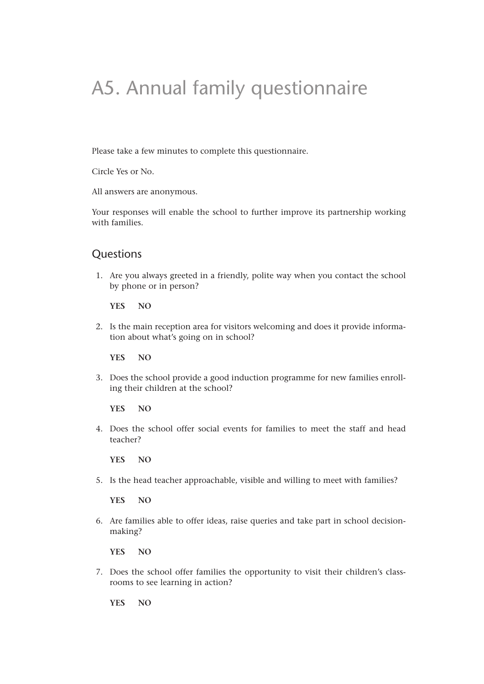## A5. Annual family questionnaire

Please take a few minutes to complete this questionnaire.

Circle Yes or No.

All answers are anonymous.

Your responses will enable the school to further improve its partnership working with families.

## **Questions**

1. Are you always greeted in a friendly, polite way when you contact the school by phone or in person?

**YES NO**

2. Is the main reception area for visitors welcoming and does it provide information about what's going on in school?

**YES NO**

3. Does the school provide a good induction programme for new families enrolling their children at the school?

**YES NO**

4. Does the school offer social events for families to meet the staff and head teacher?

**YES NO**

5. Is the head teacher approachable, visible and willing to meet with families?

**YES NO**

6. Are families able to offer ideas, raise queries and take part in school decisionmaking?

**YES NO**

7. Does the school offer families the opportunity to visit their children's classrooms to see learning in action?

**YES NO**